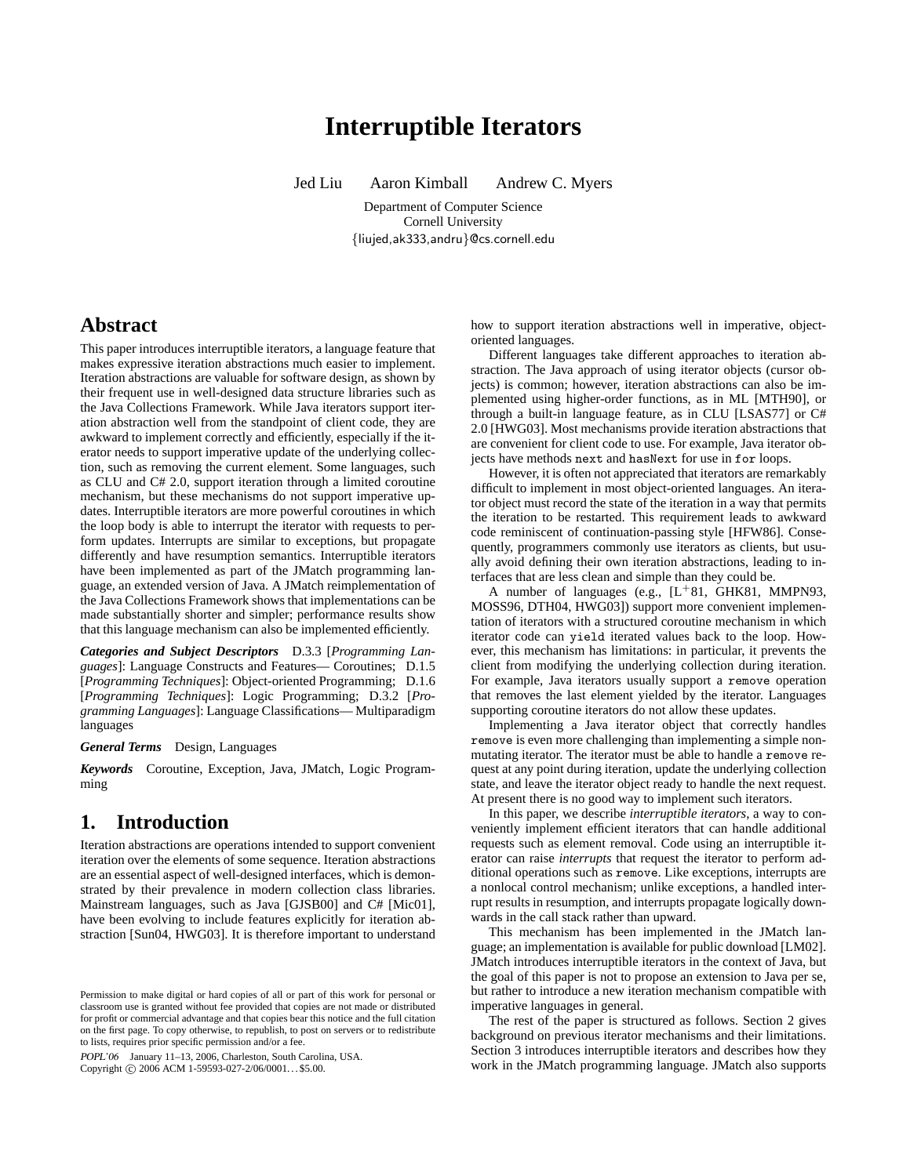# **Interruptible Iterators**

Jed Liu Aaron Kimball Andrew C. Myers

Department of Computer Science Cornell University {liujed,ak333,andru}@cs.cornell.edu

## **Abstract**

This paper introduces interruptible iterators, a language feature that makes expressive iteration abstractions much easier to implement. Iteration abstractions are valuable for software design, as shown by their frequent use in well-designed data structure libraries such as the Java Collections Framework. While Java iterators support iteration abstraction well from the standpoint of client code, they are awkward to implement correctly and efficiently, especially if the iterator needs to support imperative update of the underlying collection, such as removing the current element. Some languages, such as CLU and C# 2.0, support iteration through a limited coroutine mechanism, but these mechanisms do not support imperative updates. Interruptible iterators are more powerful coroutines in which the loop body is able to interrupt the iterator with requests to perform updates. Interrupts are similar to exceptions, but propagate differently and have resumption semantics. Interruptible iterators have been implemented as part of the JMatch programming language, an extended version of Java. A JMatch reimplementation of the Java Collections Framework shows that implementations can be made substantially shorter and simpler; performance results show that this language mechanism can also be implemented efficiently.

*Categories and Subject Descriptors* D.3.3 [*Programming Languages*]: Language Constructs and Features— Coroutines; D.1.5 [*Programming Techniques*]: Object-oriented Programming; D.1.6 [*Programming Techniques*]: Logic Programming; D.3.2 [*Programming Languages*]: Language Classifications— Multiparadigm languages

*General Terms* Design, Languages

*Keywords* Coroutine, Exception, Java, JMatch, Logic Programming

## **1. Introduction**

Iteration abstractions are operations intended to support convenient iteration over the elements of some sequence. Iteration abstractions are an essential aspect of well-designed interfaces, which is demonstrated by their prevalence in modern collection class libraries. Mainstream languages, such as Java [GJSB00] and C# [Mic01], have been evolving to include features explicitly for iteration abstraction [Sun04, HWG03]. It is therefore important to understand

POPL'06 January 11–13, 2006, Charleston, South Carolina, USA. Copyright © 2006 ACM 1-59593-027-2/06/0001... \$5.00.

how to support iteration abstractions well in imperative, objectoriented languages.

Different languages take different approaches to iteration abstraction. The Java approach of using iterator objects (cursor objects) is common; however, iteration abstractions can also be implemented using higher-order functions, as in ML [MTH90], or through a built-in language feature, as in CLU [LSAS77] or C# 2.0 [HWG03]. Most mechanisms provide iteration abstractions that are convenient for client code to use. For example, Java iterator objects have methods next and hasNext for use in for loops.

However, it is often not appreciated that iterators are remarkably difficult to implement in most object-oriented languages. An iterator object must record the state of the iteration in a way that permits the iteration to be restarted. This requirement leads to awkward code reminiscent of continuation-passing style [HFW86]. Consequently, programmers commonly use iterators as clients, but usually avoid defining their own iteration abstractions, leading to interfaces that are less clean and simple than they could be.

A number of languages (e.g.,  $[L^+81, \text{ GHK81}, \text{ MMPN93},$ MOSS96, DTH04, HWG03]) support more convenient implementation of iterators with a structured coroutine mechanism in which iterator code can yield iterated values back to the loop. However, this mechanism has limitations: in particular, it prevents the client from modifying the underlying collection during iteration. For example, Java iterators usually support a remove operation that removes the last element yielded by the iterator. Languages supporting coroutine iterators do not allow these updates.

Implementing a Java iterator object that correctly handles remove is even more challenging than implementing a simple nonmutating iterator. The iterator must be able to handle a remove request at any point during iteration, update the underlying collection state, and leave the iterator object ready to handle the next request. At present there is no good way to implement such iterators.

In this paper, we describe *interruptible iterators*, a way to conveniently implement efficient iterators that can handle additional requests such as element removal. Code using an interruptible iterator can raise *interrupts* that request the iterator to perform additional operations such as remove. Like exceptions, interrupts are a nonlocal control mechanism; unlike exceptions, a handled interrupt results in resumption, and interrupts propagate logically downwards in the call stack rather than upward.

This mechanism has been implemented in the JMatch language; an implementation is available for public download [LM02]. JMatch introduces interruptible iterators in the context of Java, but the goal of this paper is not to propose an extension to Java per se, but rather to introduce a new iteration mechanism compatible with imperative languages in general.

The rest of the paper is structured as follows. Section 2 gives background on previous iterator mechanisms and their limitations. Section 3 introduces interruptible iterators and describes how they work in the JMatch programming language. JMatch also supports

Permission to make digital or hard copies of all or part of this work for personal or classroom use is granted without fee provided that copies are not made or distributed for profit or commercial advantage and that copies bear this notice and the full citation on the first page. To copy otherwise, to republish, to post on servers or to redistribute to lists, requires prior specific permission and/or a fee.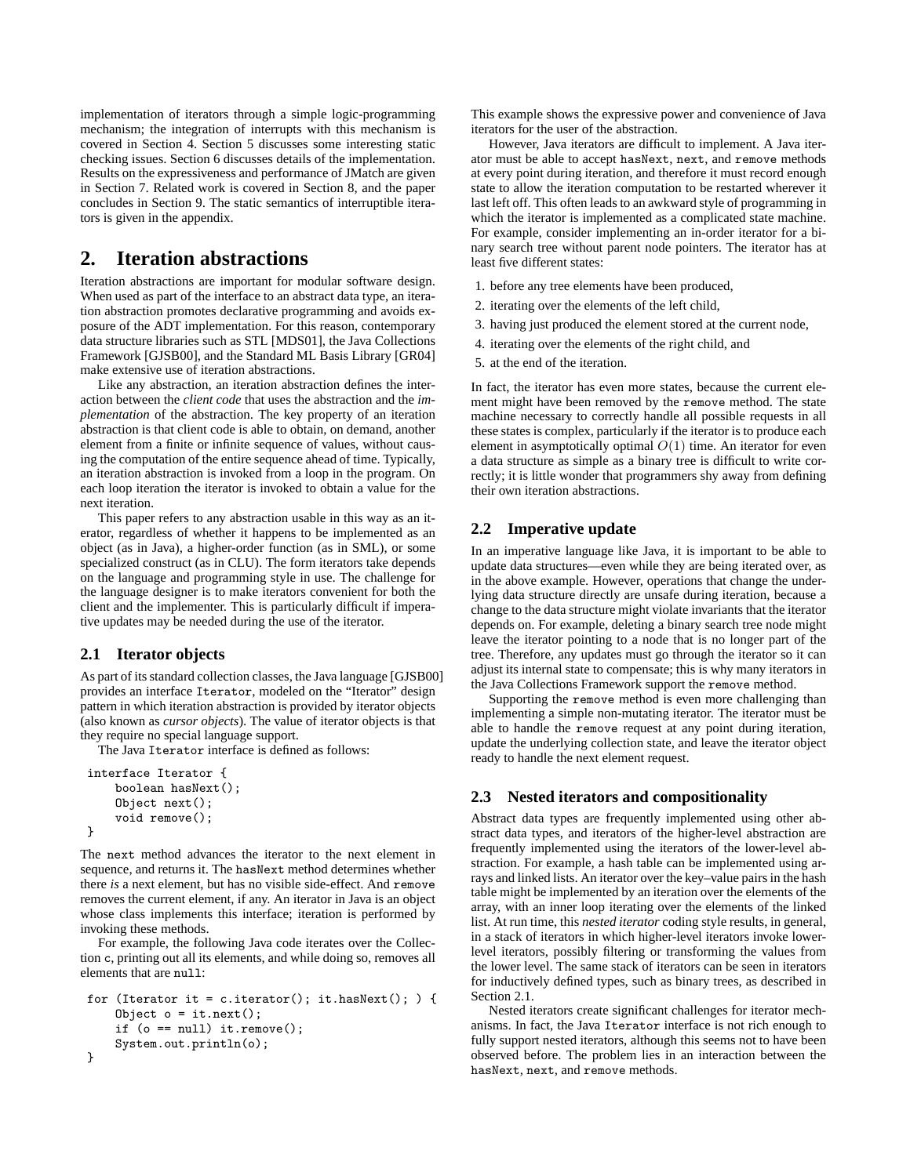implementation of iterators through a simple logic-programming mechanism; the integration of interrupts with this mechanism is covered in Section 4. Section 5 discusses some interesting static checking issues. Section 6 discusses details of the implementation. Results on the expressiveness and performance of JMatch are given in Section 7. Related work is covered in Section 8, and the paper concludes in Section 9. The static semantics of interruptible iterators is given in the appendix.

## **2. Iteration abstractions**

Iteration abstractions are important for modular software design. When used as part of the interface to an abstract data type, an iteration abstraction promotes declarative programming and avoids exposure of the ADT implementation. For this reason, contemporary data structure libraries such as STL [MDS01], the Java Collections Framework [GJSB00], and the Standard ML Basis Library [GR04] make extensive use of iteration abstractions.

Like any abstraction, an iteration abstraction defines the interaction between the *client code* that uses the abstraction and the *implementation* of the abstraction. The key property of an iteration abstraction is that client code is able to obtain, on demand, another element from a finite or infinite sequence of values, without causing the computation of the entire sequence ahead of time. Typically, an iteration abstraction is invoked from a loop in the program. On each loop iteration the iterator is invoked to obtain a value for the next iteration.

This paper refers to any abstraction usable in this way as an iterator, regardless of whether it happens to be implemented as an object (as in Java), a higher-order function (as in SML), or some specialized construct (as in CLU). The form iterators take depends on the language and programming style in use. The challenge for the language designer is to make iterators convenient for both the client and the implementer. This is particularly difficult if imperative updates may be needed during the use of the iterator.

### **2.1 Iterator objects**

As part of its standard collection classes, the Java language [GJSB00] provides an interface Iterator, modeled on the "Iterator" design pattern in which iteration abstraction is provided by iterator objects (also known as *cursor objects*). The value of iterator objects is that they require no special language support.

The Java Iterator interface is defined as follows:

```
interface Iterator {
    boolean hasNext();
    Object next();
    void remove();
}
```
The next method advances the iterator to the next element in sequence, and returns it. The hasNext method determines whether there *is* a next element, but has no visible side-effect. And remove removes the current element, if any. An iterator in Java is an object whose class implements this interface; iteration is performed by invoking these methods.

For example, the following Java code iterates over the Collection c, printing out all its elements, and while doing so, removes all elements that are null:

```
for (Iterator it = c.iterator(); it.hasNext(); ) {
    Object o = it.next();
    if (o == null) it.remove();System.out.println(o);
}
```
This example shows the expressive power and convenience of Java iterators for the user of the abstraction.

However, Java iterators are difficult to implement. A Java iterator must be able to accept hasNext, next, and remove methods at every point during iteration, and therefore it must record enough state to allow the iteration computation to be restarted wherever it last left off. This often leads to an awkward style of programming in which the iterator is implemented as a complicated state machine. For example, consider implementing an in-order iterator for a binary search tree without parent node pointers. The iterator has at least five different states:

- 1. before any tree elements have been produced,
- 2. iterating over the elements of the left child,
- 3. having just produced the element stored at the current node,
- 4. iterating over the elements of the right child, and
- 5. at the end of the iteration.

In fact, the iterator has even more states, because the current element might have been removed by the remove method. The state machine necessary to correctly handle all possible requests in all these states is complex, particularly if the iterator is to produce each element in asymptotically optimal  $O(1)$  time. An iterator for even a data structure as simple as a binary tree is difficult to write correctly; it is little wonder that programmers shy away from defining their own iteration abstractions.

### **2.2 Imperative update**

In an imperative language like Java, it is important to be able to update data structures—even while they are being iterated over, as in the above example. However, operations that change the underlying data structure directly are unsafe during iteration, because a change to the data structure might violate invariants that the iterator depends on. For example, deleting a binary search tree node might leave the iterator pointing to a node that is no longer part of the tree. Therefore, any updates must go through the iterator so it can adjust its internal state to compensate; this is why many iterators in the Java Collections Framework support the remove method.

Supporting the remove method is even more challenging than implementing a simple non-mutating iterator. The iterator must be able to handle the remove request at any point during iteration, update the underlying collection state, and leave the iterator object ready to handle the next element request.

### **2.3 Nested iterators and compositionality**

Abstract data types are frequently implemented using other abstract data types, and iterators of the higher-level abstraction are frequently implemented using the iterators of the lower-level abstraction. For example, a hash table can be implemented using arrays and linked lists. An iterator over the key–value pairs in the hash table might be implemented by an iteration over the elements of the array, with an inner loop iterating over the elements of the linked list. At run time, this *nested iterator* coding style results, in general, in a stack of iterators in which higher-level iterators invoke lowerlevel iterators, possibly filtering or transforming the values from the lower level. The same stack of iterators can be seen in iterators for inductively defined types, such as binary trees, as described in Section 2.1.

Nested iterators create significant challenges for iterator mechanisms. In fact, the Java Iterator interface is not rich enough to fully support nested iterators, although this seems not to have been observed before. The problem lies in an interaction between the hasNext, next, and remove methods.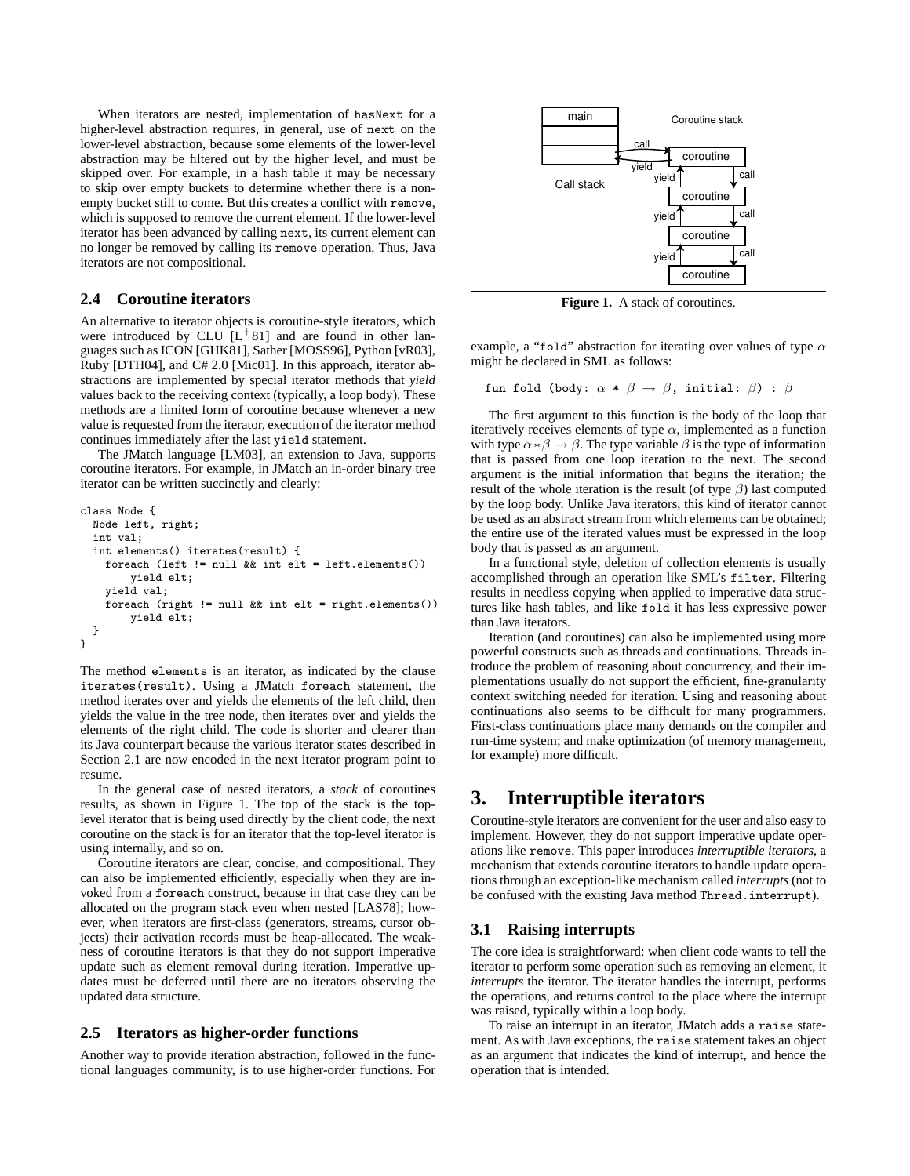When iterators are nested, implementation of hasNext for a higher-level abstraction requires, in general, use of next on the lower-level abstraction, because some elements of the lower-level abstraction may be filtered out by the higher level, and must be skipped over. For example, in a hash table it may be necessary to skip over empty buckets to determine whether there is a nonempty bucket still to come. But this creates a conflict with remove, which is supposed to remove the current element. If the lower-level iterator has been advanced by calling next, its current element can no longer be removed by calling its remove operation. Thus, Java iterators are not compositional.

### **2.4 Coroutine iterators**

An alternative to iterator objects is coroutine-style iterators, which were introduced by CLU  $[L+81]$  and are found in other languages such as ICON [GHK81], Sather [MOSS96], Python [vR03], Ruby [DTH04], and C# 2.0 [Mic01]. In this approach, iterator abstractions are implemented by special iterator methods that *yield* values back to the receiving context (typically, a loop body). These methods are a limited form of coroutine because whenever a new value is requested from the iterator, execution of the iterator method continues immediately after the last yield statement.

The JMatch language [LM03], an extension to Java, supports coroutine iterators. For example, in JMatch an in-order binary tree iterator can be written succinctly and clearly:

```
class Node {
 Node left, right;
  int val;
  int elements() iterates(result) {
    foreach (left != null && int elt = left.elements())
        yield elt;
    yield val;
    foreach (right != null && int elt = right.elements())
        yield elt;
 }
}
```
The method elements is an iterator, as indicated by the clause iterates(result). Using a JMatch foreach statement, the method iterates over and yields the elements of the left child, then yields the value in the tree node, then iterates over and yields the elements of the right child. The code is shorter and clearer than its Java counterpart because the various iterator states described in Section 2.1 are now encoded in the next iterator program point to resume.

In the general case of nested iterators, a *stack* of coroutines results, as shown in Figure 1. The top of the stack is the toplevel iterator that is being used directly by the client code, the next coroutine on the stack is for an iterator that the top-level iterator is using internally, and so on.

Coroutine iterators are clear, concise, and compositional. They can also be implemented efficiently, especially when they are invoked from a foreach construct, because in that case they can be allocated on the program stack even when nested [LAS78]; however, when iterators are first-class (generators, streams, cursor objects) their activation records must be heap-allocated. The weakness of coroutine iterators is that they do not support imperative update such as element removal during iteration. Imperative updates must be deferred until there are no iterators observing the updated data structure.

#### **2.5 Iterators as higher-order functions**

Another way to provide iteration abstraction, followed in the functional languages community, is to use higher-order functions. For



**Figure 1.** A stack of coroutines.

example, a "fold" abstraction for iterating over values of type  $\alpha$ might be declared in SML as follows:

$$
\text{fun fold (body: } \alpha \, * \, \beta \, \rightarrow \, \beta, \, \, \text{initial: } \, \beta) \; : \; \beta
$$

The first argument to this function is the body of the loop that iteratively receives elements of type  $\alpha$ , implemented as a function with type  $\alpha * \beta \to \beta$ . The type variable  $\beta$  is the type of information that is passed from one loop iteration to the next. The second argument is the initial information that begins the iteration; the result of the whole iteration is the result (of type  $\beta$ ) last computed by the loop body. Unlike Java iterators, this kind of iterator cannot be used as an abstract stream from which elements can be obtained; the entire use of the iterated values must be expressed in the loop body that is passed as an argument.

In a functional style, deletion of collection elements is usually accomplished through an operation like SML's filter. Filtering results in needless copying when applied to imperative data structures like hash tables, and like fold it has less expressive power than Java iterators.

Iteration (and coroutines) can also be implemented using more powerful constructs such as threads and continuations. Threads introduce the problem of reasoning about concurrency, and their implementations usually do not support the efficient, fine-granularity context switching needed for iteration. Using and reasoning about continuations also seems to be difficult for many programmers. First-class continuations place many demands on the compiler and run-time system; and make optimization (of memory management, for example) more difficult.

### **3. Interruptible iterators**

Coroutine-style iterators are convenient for the user and also easy to implement. However, they do not support imperative update operations like remove. This paper introduces *interruptible iterators*, a mechanism that extends coroutine iterators to handle update operations through an exception-like mechanism called *interrupts* (not to be confused with the existing Java method Thread.interrupt).

### **3.1 Raising interrupts**

The core idea is straightforward: when client code wants to tell the iterator to perform some operation such as removing an element, it *interrupts* the iterator. The iterator handles the interrupt, performs the operations, and returns control to the place where the interrupt was raised, typically within a loop body.

To raise an interrupt in an iterator, JMatch adds a raise statement. As with Java exceptions, the raise statement takes an object as an argument that indicates the kind of interrupt, and hence the operation that is intended.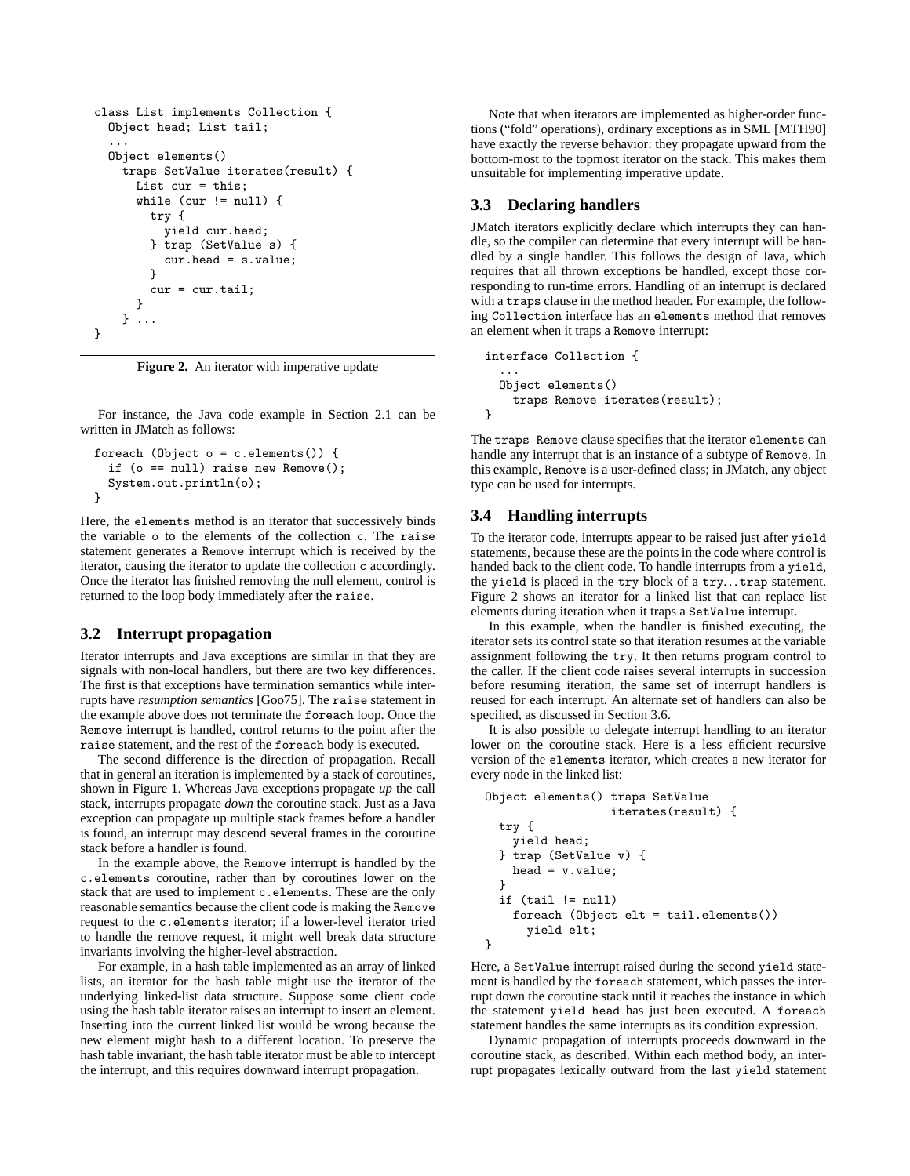```
class List implements Collection {
  Object head; List tail;
  ...
  Object elements()
    traps SetValue iterates(result) {
      List cur = this;
      while cur := null) {
        try {
          yield cur.head;
        } trap (SetValue s) {
          cur.head = s.value;
        }
        cur = cur.tail;
      }
    } ...
}
```
**Figure 2.** An iterator with imperative update

For instance, the Java code example in Section 2.1 can be written in JMatch as follows:

```
foreach (Object o = c.\text{elements}()) {
  if (o == null) raise new Remove();
  System.out.println(o);
}
```
Here, the elements method is an iterator that successively binds the variable o to the elements of the collection c. The raise statement generates a Remove interrupt which is received by the iterator, causing the iterator to update the collection c accordingly. Once the iterator has finished removing the null element, control is returned to the loop body immediately after the raise.

#### **3.2 Interrupt propagation**

Iterator interrupts and Java exceptions are similar in that they are signals with non-local handlers, but there are two key differences. The first is that exceptions have termination semantics while interrupts have *resumption semantics* [Goo75]. The raise statement in the example above does not terminate the foreach loop. Once the Remove interrupt is handled, control returns to the point after the raise statement, and the rest of the foreach body is executed.

The second difference is the direction of propagation. Recall that in general an iteration is implemented by a stack of coroutines, shown in Figure 1. Whereas Java exceptions propagate *up* the call stack, interrupts propagate *down* the coroutine stack. Just as a Java exception can propagate up multiple stack frames before a handler is found, an interrupt may descend several frames in the coroutine stack before a handler is found.

In the example above, the Remove interrupt is handled by the c.elements coroutine, rather than by coroutines lower on the stack that are used to implement c.elements. These are the only reasonable semantics because the client code is making the Remove request to the c.elements iterator; if a lower-level iterator tried to handle the remove request, it might well break data structure invariants involving the higher-level abstraction.

For example, in a hash table implemented as an array of linked lists, an iterator for the hash table might use the iterator of the underlying linked-list data structure. Suppose some client code using the hash table iterator raises an interrupt to insert an element. Inserting into the current linked list would be wrong because the new element might hash to a different location. To preserve the hash table invariant, the hash table iterator must be able to intercept the interrupt, and this requires downward interrupt propagation.

Note that when iterators are implemented as higher-order functions ("fold" operations), ordinary exceptions as in SML [MTH90] have exactly the reverse behavior: they propagate upward from the bottom-most to the topmost iterator on the stack. This makes them unsuitable for implementing imperative update.

### **3.3 Declaring handlers**

JMatch iterators explicitly declare which interrupts they can handle, so the compiler can determine that every interrupt will be handled by a single handler. This follows the design of Java, which requires that all thrown exceptions be handled, except those corresponding to run-time errors. Handling of an interrupt is declared with a traps clause in the method header. For example, the following Collection interface has an elements method that removes an element when it traps a Remove interrupt:

```
interface Collection {
  ...
  Object elements()
    traps Remove iterates(result);
}
```
The traps Remove clause specifies that the iterator elements can handle any interrupt that is an instance of a subtype of Remove. In this example, Remove is a user-defined class; in JMatch, any object type can be used for interrupts.

### **3.4 Handling interrupts**

To the iterator code, interrupts appear to be raised just after yield statements, because these are the points in the code where control is handed back to the client code. To handle interrupts from a yield, the yield is placed in the try block of a try. . . trap statement. Figure 2 shows an iterator for a linked list that can replace list elements during iteration when it traps a SetValue interrupt.

In this example, when the handler is finished executing, the iterator sets its control state so that iteration resumes at the variable assignment following the try. It then returns program control to the caller. If the client code raises several interrupts in succession before resuming iteration, the same set of interrupt handlers is reused for each interrupt. An alternate set of handlers can also be specified, as discussed in Section 3.6.

It is also possible to delegate interrupt handling to an iterator lower on the coroutine stack. Here is a less efficient recursive version of the elements iterator, which creates a new iterator for every node in the linked list:

```
Object elements() traps SetValue
                  iterates(result) {
  try {
    yield head;
  } trap (SetValue v) {
    head = v.value;
  }
  if (tail != null)
    foreach (Object elt = tail.elements())
      yield elt;
}
```
Here, a SetValue interrupt raised during the second yield statement is handled by the foreach statement, which passes the interrupt down the coroutine stack until it reaches the instance in which the statement yield head has just been executed. A foreach statement handles the same interrupts as its condition expression.

Dynamic propagation of interrupts proceeds downward in the coroutine stack, as described. Within each method body, an interrupt propagates lexically outward from the last yield statement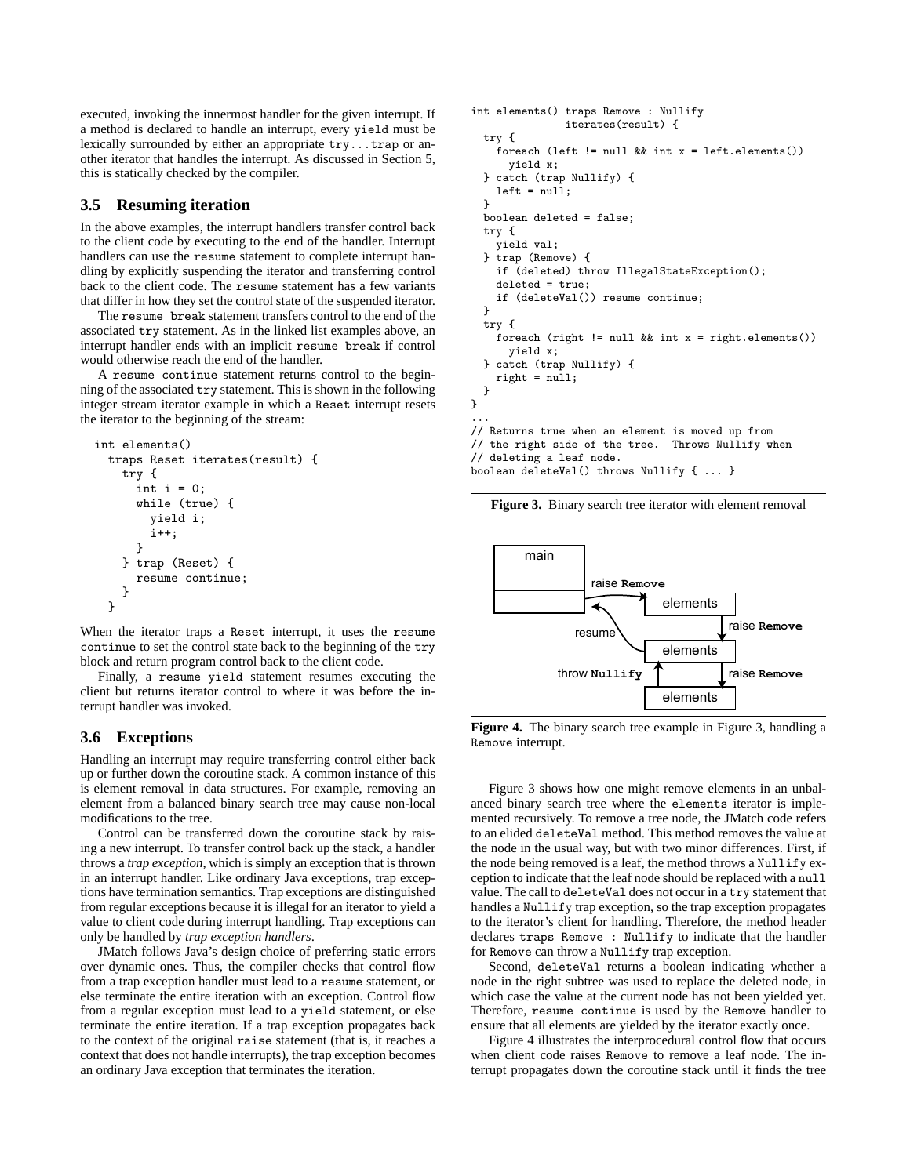executed, invoking the innermost handler for the given interrupt. If a method is declared to handle an interrupt, every yield must be lexically surrounded by either an appropriate try...trap or another iterator that handles the interrupt. As discussed in Section 5, this is statically checked by the compiler.

### **3.5 Resuming iteration**

In the above examples, the interrupt handlers transfer control back to the client code by executing to the end of the handler. Interrupt handlers can use the resume statement to complete interrupt handling by explicitly suspending the iterator and transferring control back to the client code. The resume statement has a few variants that differ in how they set the control state of the suspended iterator.

The resume break statement transfers control to the end of the associated try statement. As in the linked list examples above, an interrupt handler ends with an implicit resume break if control would otherwise reach the end of the handler.

A resume continue statement returns control to the beginning of the associated try statement. This is shown in the following integer stream iterator example in which a Reset interrupt resets the iterator to the beginning of the stream:

```
int elements()
  traps Reset iterates(result) {
    try {
      int i = 0;
      while (true) {
        yield i;
        i++;
      }
    } trap (Reset) {
      resume continue;
    }
  }
```
When the iterator traps a Reset interrupt, it uses the resume continue to set the control state back to the beginning of the try block and return program control back to the client code.

Finally, a resume yield statement resumes executing the client but returns iterator control to where it was before the interrupt handler was invoked.

### **3.6 Exceptions**

Handling an interrupt may require transferring control either back up or further down the coroutine stack. A common instance of this is element removal in data structures. For example, removing an element from a balanced binary search tree may cause non-local modifications to the tree.

Control can be transferred down the coroutine stack by raising a new interrupt. To transfer control back up the stack, a handler throws a *trap exception*, which is simply an exception that is thrown in an interrupt handler. Like ordinary Java exceptions, trap exceptions have termination semantics. Trap exceptions are distinguished from regular exceptions because it is illegal for an iterator to yield a value to client code during interrupt handling. Trap exceptions can only be handled by *trap exception handlers*.

JMatch follows Java's design choice of preferring static errors over dynamic ones. Thus, the compiler checks that control flow from a trap exception handler must lead to a resume statement, or else terminate the entire iteration with an exception. Control flow from a regular exception must lead to a yield statement, or else terminate the entire iteration. If a trap exception propagates back to the context of the original raise statement (that is, it reaches a context that does not handle interrupts), the trap exception becomes an ordinary Java exception that terminates the iteration.

```
int elements() traps Remove : Nullify
               iterates(result) {
  try {
    foreach (left != null k& int x = left.elements())
      yield x;
  } catch (trap Nullify) {
    left = null;}
  boolean deleted = false;
  try {
    yield val;
  } trap (Remove) {
    if (deleted) throw IllegalStateException();
    deleted = true;
    if (deleteVal()) resume continue;
  }
  try {
    foreach (right != null \& int x = right.\text{elements}())
      yield x;
  } catch (trap Nullify) {
    right = null;}
}
...
// Returns true when an element is moved up from
// the right side of the tree. Throws Nullify when
// deleting a leaf node.
boolean deleteVal() throws Nullify { ... }
```




**Figure 4.** The binary search tree example in Figure 3, handling a Remove interrupt.

Figure 3 shows how one might remove elements in an unbalanced binary search tree where the elements iterator is implemented recursively. To remove a tree node, the JMatch code refers to an elided deleteVal method. This method removes the value at the node in the usual way, but with two minor differences. First, if the node being removed is a leaf, the method throws a Nullify exception to indicate that the leaf node should be replaced with a null value. The call to deleteVal does not occur in a try statement that handles a Nullify trap exception, so the trap exception propagates to the iterator's client for handling. Therefore, the method header declares traps Remove : Nullify to indicate that the handler for Remove can throw a Nullify trap exception.

Second, deleteVal returns a boolean indicating whether a node in the right subtree was used to replace the deleted node, in which case the value at the current node has not been yielded yet. Therefore, resume continue is used by the Remove handler to ensure that all elements are yielded by the iterator exactly once.

Figure 4 illustrates the interprocedural control flow that occurs when client code raises Remove to remove a leaf node. The interrupt propagates down the coroutine stack until it finds the tree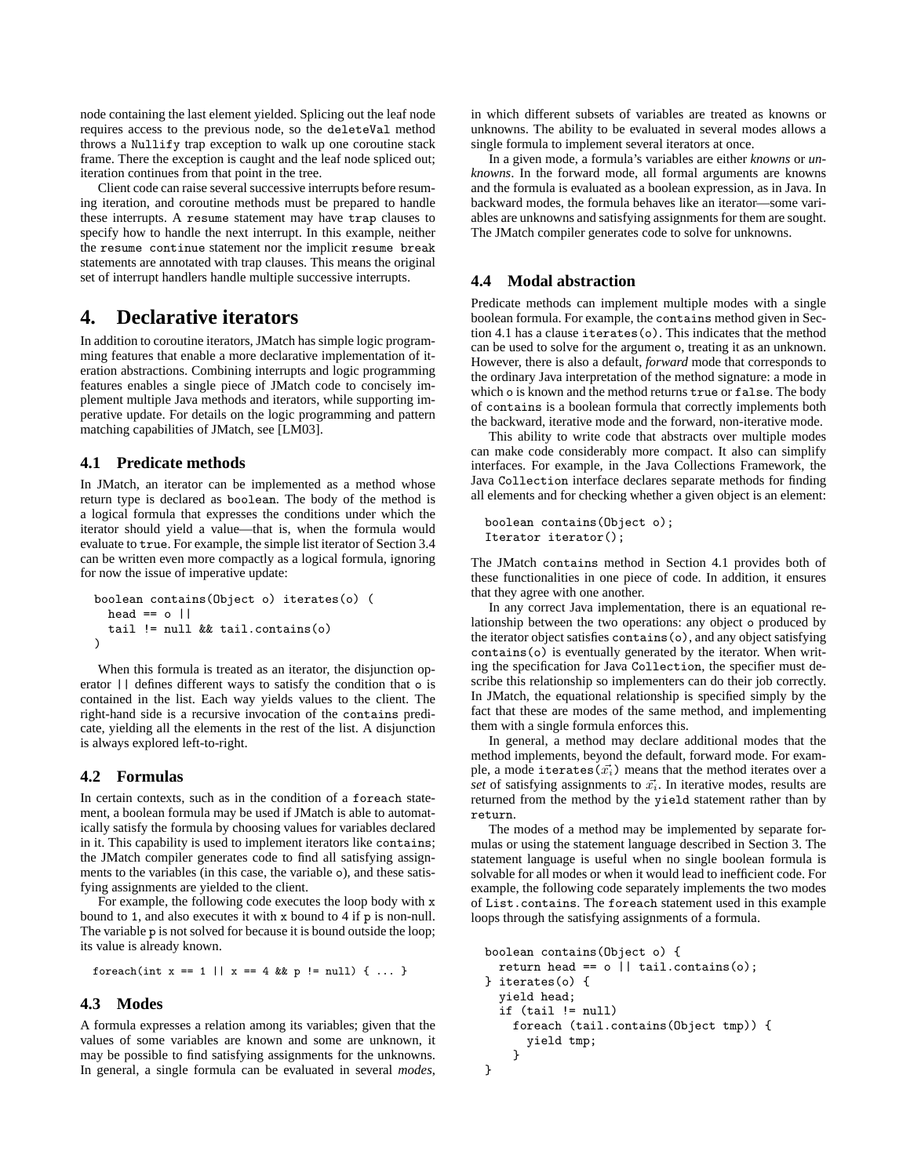node containing the last element yielded. Splicing out the leaf node requires access to the previous node, so the deleteVal method throws a Nullify trap exception to walk up one coroutine stack frame. There the exception is caught and the leaf node spliced out; iteration continues from that point in the tree.

Client code can raise several successive interrupts before resuming iteration, and coroutine methods must be prepared to handle these interrupts. A resume statement may have trap clauses to specify how to handle the next interrupt. In this example, neither the resume continue statement nor the implicit resume break statements are annotated with trap clauses. This means the original set of interrupt handlers handle multiple successive interrupts.

### **4. Declarative iterators**

In addition to coroutine iterators, JMatch has simple logic programming features that enable a more declarative implementation of iteration abstractions. Combining interrupts and logic programming features enables a single piece of JMatch code to concisely implement multiple Java methods and iterators, while supporting imperative update. For details on the logic programming and pattern matching capabilities of JMatch, see [LM03].

### **4.1 Predicate methods**

In JMatch, an iterator can be implemented as a method whose return type is declared as boolean. The body of the method is a logical formula that expresses the conditions under which the iterator should yield a value—that is, when the formula would evaluate to true. For example, the simple list iterator of Section 3.4 can be written even more compactly as a logical formula, ignoring for now the issue of imperative update:

```
boolean contains(Object o) iterates(o) (
 head == o ||tail != null && tail.contains(o)
\lambda
```
When this formula is treated as an iterator, the disjunction operator || defines different ways to satisfy the condition that o is contained in the list. Each way yields values to the client. The right-hand side is a recursive invocation of the contains predicate, yielding all the elements in the rest of the list. A disjunction is always explored left-to-right.

### **4.2 Formulas**

In certain contexts, such as in the condition of a foreach statement, a boolean formula may be used if JMatch is able to automatically satisfy the formula by choosing values for variables declared in it. This capability is used to implement iterators like contains; the JMatch compiler generates code to find all satisfying assignments to the variables (in this case, the variable o), and these satisfying assignments are yielded to the client.

For example, the following code executes the loop body with x bound to 1, and also executes it with x bound to 4 if p is non-null. The variable p is not solved for because it is bound outside the loop; its value is already known.

```
foreach(int x == 1 || x == 4 & p != null) { ... }
```
### **4.3 Modes**

A formula expresses a relation among its variables; given that the values of some variables are known and some are unknown, it may be possible to find satisfying assignments for the unknowns. In general, a single formula can be evaluated in several *modes*,

in which different subsets of variables are treated as knowns or unknowns. The ability to be evaluated in several modes allows a single formula to implement several iterators at once.

In a given mode, a formula's variables are either *knowns* or *unknowns*. In the forward mode, all formal arguments are knowns and the formula is evaluated as a boolean expression, as in Java. In backward modes, the formula behaves like an iterator—some variables are unknowns and satisfying assignments for them are sought. The JMatch compiler generates code to solve for unknowns.

### **4.4 Modal abstraction**

Predicate methods can implement multiple modes with a single boolean formula. For example, the contains method given in Section 4.1 has a clause iterates(o). This indicates that the method can be used to solve for the argument o, treating it as an unknown. However, there is also a default, *forward* mode that corresponds to the ordinary Java interpretation of the method signature: a mode in which o is known and the method returns true or false. The body of contains is a boolean formula that correctly implements both the backward, iterative mode and the forward, non-iterative mode.

This ability to write code that abstracts over multiple modes can make code considerably more compact. It also can simplify interfaces. For example, in the Java Collections Framework, the Java Collection interface declares separate methods for finding all elements and for checking whether a given object is an element:

```
boolean contains(Object o);
Iterator iterator();
```
The JMatch contains method in Section 4.1 provides both of these functionalities in one piece of code. In addition, it ensures that they agree with one another.

In any correct Java implementation, there is an equational relationship between the two operations: any object o produced by the iterator object satisfies contains(o), and any object satisfying contains(o) is eventually generated by the iterator. When writing the specification for Java Collection, the specifier must describe this relationship so implementers can do their job correctly. In JMatch, the equational relationship is specified simply by the fact that these are modes of the same method, and implementing them with a single formula enforces this.

In general, a method may declare additional modes that the method implements, beyond the default, forward mode. For example, a mode iterates  $(\vec{x_i})$  means that the method iterates over a *set* of satisfying assignments to  $\vec{x_i}$ . In iterative modes, results are returned from the method by the yield statement rather than by return.

The modes of a method may be implemented by separate formulas or using the statement language described in Section 3. The statement language is useful when no single boolean formula is solvable for all modes or when it would lead to inefficient code. For example, the following code separately implements the two modes of List.contains. The foreach statement used in this example loops through the satisfying assignments of a formula.

```
boolean contains(Object o) {
 return head == o || tail.contains(o);
} iterates(o) {
  yield head;
  if (tail != null)
    foreach (tail.contains(Object tmp)) {
      yield tmp;
    }
}
```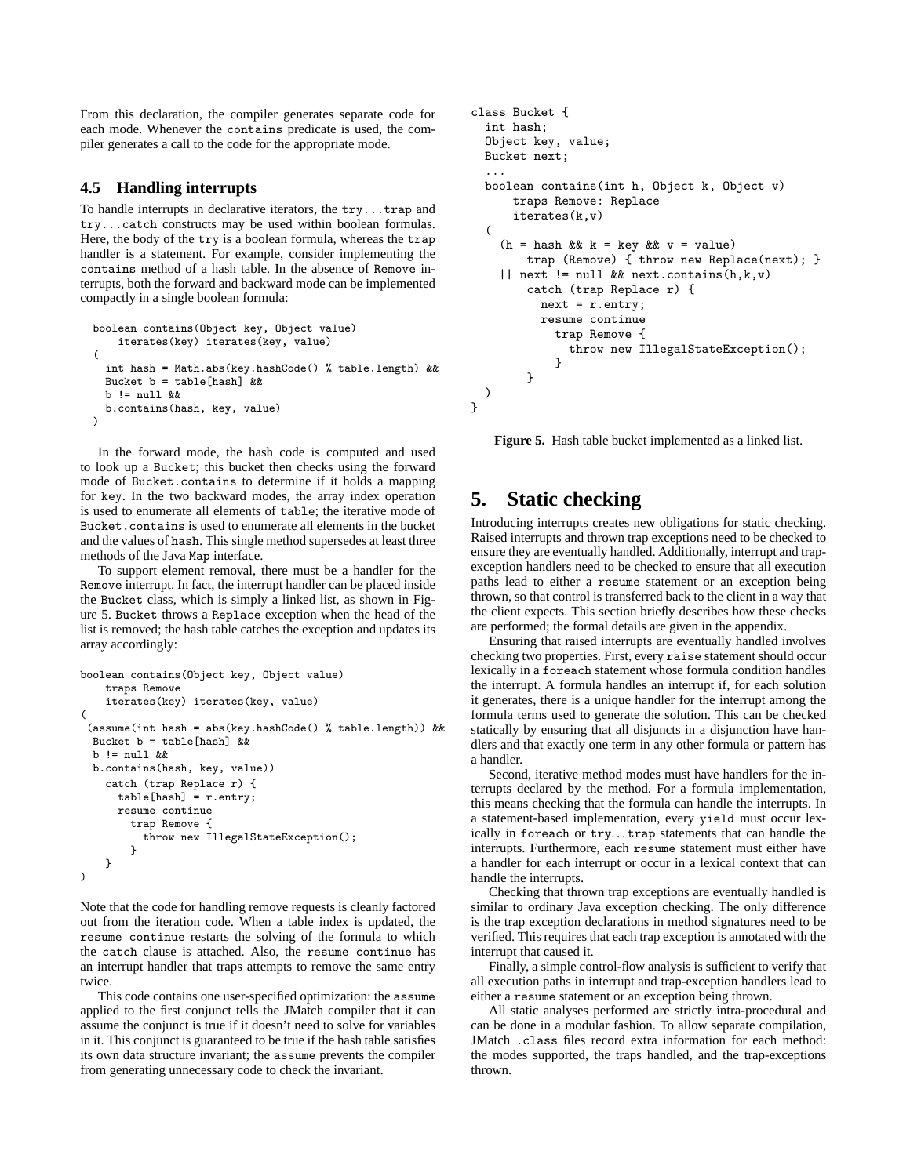From this declaration, the compiler generates separate code for each mode. Whenever the contains predicate is used, the compiler generates a call to the code for the appropriate mode.

### **4.5 Handling interrupts**

To handle interrupts in declarative iterators, the try...trap and try...catch constructs may be used within boolean formulas. Here, the body of the try is a boolean formula, whereas the trap handler is a statement. For example, consider implementing the contains method of a hash table. In the absence of Remove interrupts, both the forward and backward mode can be implemented compactly in a single boolean formula:

```
boolean contains(Object key, Object value)
    iterates(key) iterates(key, value)
(
  int hash = Math.abs(key.hashCode() % table.length) &&
  Bucket b = table[hash] &&
  b != null &&
  b.contains(hash, key, value)
)
```
In the forward mode, the hash code is computed and used to look up a Bucket; this bucket then checks using the forward mode of Bucket.contains to determine if it holds a mapping for key. In the two backward modes, the array index operation is used to enumerate all elements of table; the iterative mode of Bucket.contains is used to enumerate all elements in the bucket and the values of hash. This single method supersedes at least three methods of the Java Map interface.

To support element removal, there must be a handler for the Remove interrupt. In fact, the interrupt handler can be placed inside the Bucket class, which is simply a linked list, as shown in Figure 5. Bucket throws a Replace exception when the head of the list is removed; the hash table catches the exception and updates its array accordingly:

```
boolean contains(Object key, Object value)
    traps Remove
    iterates(key) iterates(key, value)
(
 (assume(int hash = abs(key.hashCode() % table.length)) &&
 Bucket b = \text{table}[\text{hash}] &&
 b != null & &
  b.contains(hash, key, value))
    catch (trap Replace r) {
      table[hash] = r.entry;
      resume continue
        trap Remove {
          throw new IllegalStateException();
        }
    }
)
```
Note that the code for handling remove requests is cleanly factored out from the iteration code. When a table index is updated, the resume continue restarts the solving of the formula to which the catch clause is attached. Also, the resume continue has an interrupt handler that traps attempts to remove the same entry twice.

This code contains one user-specified optimization: the assume applied to the first conjunct tells the JMatch compiler that it can assume the conjunct is true if it doesn't need to solve for variables in it. This conjunct is guaranteed to be true if the hash table satisfies its own data structure invariant; the assume prevents the compiler from generating unnecessary code to check the invariant.

```
class Bucket {
  int hash;
  Object key, value;
  Bucket next;
  ...
  boolean contains(int h, Object k, Object v)
      traps Remove: Replace
      iterates(k,v)
  (
    (h = hash \& k = key \& w = value)trap (Remove) { throw new Replace(next); }
    | | next != null \& next.contains(h,k,v)
        catch (trap Replace r) {
          next = r.entry;resume continue
            trap Remove {
              throw new IllegalStateException();
            }
        }
 )
}
```
**Figure 5.** Hash table bucket implemented as a linked list.

## **5. Static checking**

Introducing interrupts creates new obligations for static checking. Raised interrupts and thrown trap exceptions need to be checked to ensure they are eventually handled. Additionally, interrupt and trapexception handlers need to be checked to ensure that all execution paths lead to either a resume statement or an exception being thrown, so that control is transferred back to the client in a way that the client expects. This section briefly describes how these checks are performed; the formal details are given in the appendix.

Ensuring that raised interrupts are eventually handled involves checking two properties. First, every raise statement should occur lexically in a foreach statement whose formula condition handles the interrupt. A formula handles an interrupt if, for each solution it generates, there is a unique handler for the interrupt among the formula terms used to generate the solution. This can be checked statically by ensuring that all disjuncts in a disjunction have handlers and that exactly one term in any other formula or pattern has a handler.

Second, iterative method modes must have handlers for the interrupts declared by the method. For a formula implementation, this means checking that the formula can handle the interrupts. In a statement-based implementation, every yield must occur lexically in foreach or try... trap statements that can handle the interrupts. Furthermore, each resume statement must either have a handler for each interrupt or occur in a lexical context that can handle the interrupts.

Checking that thrown trap exceptions are eventually handled is similar to ordinary Java exception checking. The only difference is the trap exception declarations in method signatures need to be verified. This requires that each trap exception is annotated with the interrupt that caused it.

Finally, a simple control-flow analysis is sufficient to verify that all execution paths in interrupt and trap-exception handlers lead to either a resume statement or an exception being thrown.

All static analyses performed are strictly intra-procedural and can be done in a modular fashion. To allow separate compilation, JMatch .class files record extra information for each method: the modes supported, the traps handled, and the trap-exceptions thrown.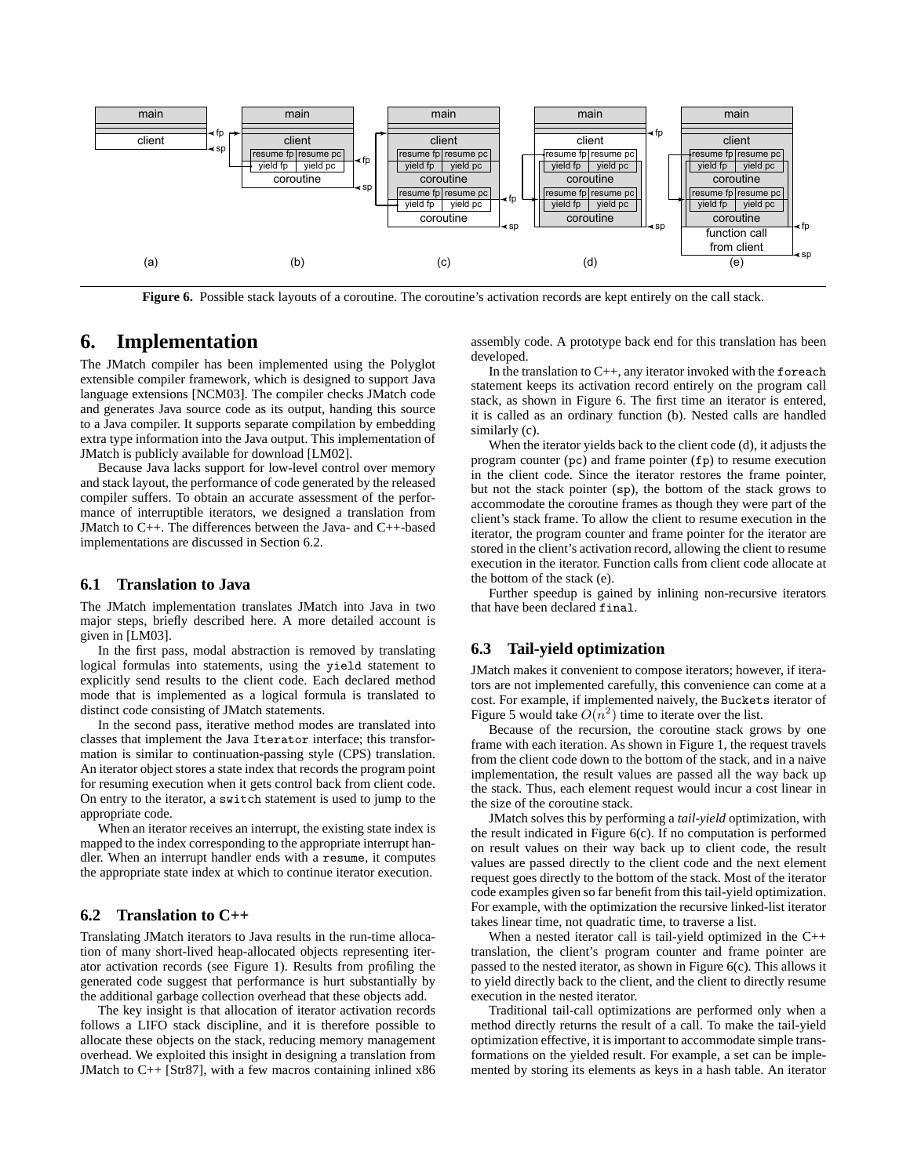

**Figure 6.** Possible stack layouts of a coroutine. The coroutine's activation records are kept entirely on the call stack.

## **6. Implementation**

The JMatch compiler has been implemented using the Polyglot extensible compiler framework, which is designed to support Java language extensions [NCM03]. The compiler checks JMatch code and generates Java source code as its output, handing this source to a Java compiler. It supports separate compilation by embedding extra type information into the Java output. This implementation of JMatch is publicly available for download [LM02].

Because Java lacks support for low-level control over memory and stack layout, the performance of code generated by the released compiler suffers. To obtain an accurate assessment of the performance of interruptible iterators, we designed a translation from JMatch to C++. The differences between the Java- and C++-based implementations are discussed in Section 6.2.

#### **6.1 Translation to Java**

The JMatch implementation translates JMatch into Java in two major steps, briefly described here. A more detailed account is given in [LM03].

In the first pass, modal abstraction is removed by translating logical formulas into statements, using the yield statement to explicitly send results to the client code. Each declared method mode that is implemented as a logical formula is translated to distinct code consisting of JMatch statements.

In the second pass, iterative method modes are translated into classes that implement the Java Iterator interface; this transformation is similar to continuation-passing style (CPS) translation. An iterator object stores a state index that records the program point for resuming execution when it gets control back from client code. On entry to the iterator, a switch statement is used to jump to the appropriate code.

When an iterator receives an interrupt, the existing state index is mapped to the index corresponding to the appropriate interrupt handler. When an interrupt handler ends with a resume, it computes the appropriate state index at which to continue iterator execution.

### **6.2 Translation to C++**

Translating JMatch iterators to Java results in the run-time allocation of many short-lived heap-allocated objects representing iterator activation records (see Figure 1). Results from profiling the generated code suggest that performance is hurt substantially by the additional garbage collection overhead that these objects add.

The key insight is that allocation of iterator activation records follows a LIFO stack discipline, and it is therefore possible to allocate these objects on the stack, reducing memory management overhead. We exploited this insight in designing a translation from JMatch to  $C_{++}$  [Str87], with a few macros containing inlined x86 assembly code. A prototype back end for this translation has been developed.

In the translation to  $C_{++}$ , any iterator invoked with the foreach statement keeps its activation record entirely on the program call stack, as shown in Figure 6. The first time an iterator is entered, it is called as an ordinary function (b). Nested calls are handled similarly (c).

When the iterator yields back to the client code (d), it adjusts the program counter (pc) and frame pointer (fp) to resume execution in the client code. Since the iterator restores the frame pointer, but not the stack pointer (sp), the bottom of the stack grows to accommodate the coroutine frames as though they were part of the client's stack frame. To allow the client to resume execution in the iterator, the program counter and frame pointer for the iterator are stored in the client's activation record, allowing the client to resume execution in the iterator. Function calls from client code allocate at the bottom of the stack (e).

Further speedup is gained by inlining non-recursive iterators that have been declared final.

#### **6.3 Tail-yield optimization**

JMatch makes it convenient to compose iterators; however, if iterators are not implemented carefully, this convenience can come at a cost. For example, if implemented naively, the Buckets iterator of Figure 5 would take  $O(n^2)$  time to iterate over the list.

Because of the recursion, the coroutine stack grows by one frame with each iteration. As shown in Figure 1, the request travels from the client code down to the bottom of the stack, and in a naive implementation, the result values are passed all the way back up the stack. Thus, each element request would incur a cost linear in the size of the coroutine stack.

JMatch solves this by performing a *tail-yield* optimization, with the result indicated in Figure 6(c). If no computation is performed on result values on their way back up to client code, the result values are passed directly to the client code and the next element request goes directly to the bottom of the stack. Most of the iterator code examples given so far benefit from this tail-yield optimization. For example, with the optimization the recursive linked-list iterator takes linear time, not quadratic time, to traverse a list.

When a nested iterator call is tail-yield optimized in the C++ translation, the client's program counter and frame pointer are passed to the nested iterator, as shown in Figure 6(c). This allows it to yield directly back to the client, and the client to directly resume execution in the nested iterator.

Traditional tail-call optimizations are performed only when a method directly returns the result of a call. To make the tail-yield optimization effective, it is important to accommodate simple transformations on the yielded result. For example, a set can be implemented by storing its elements as keys in a hash table. An iterator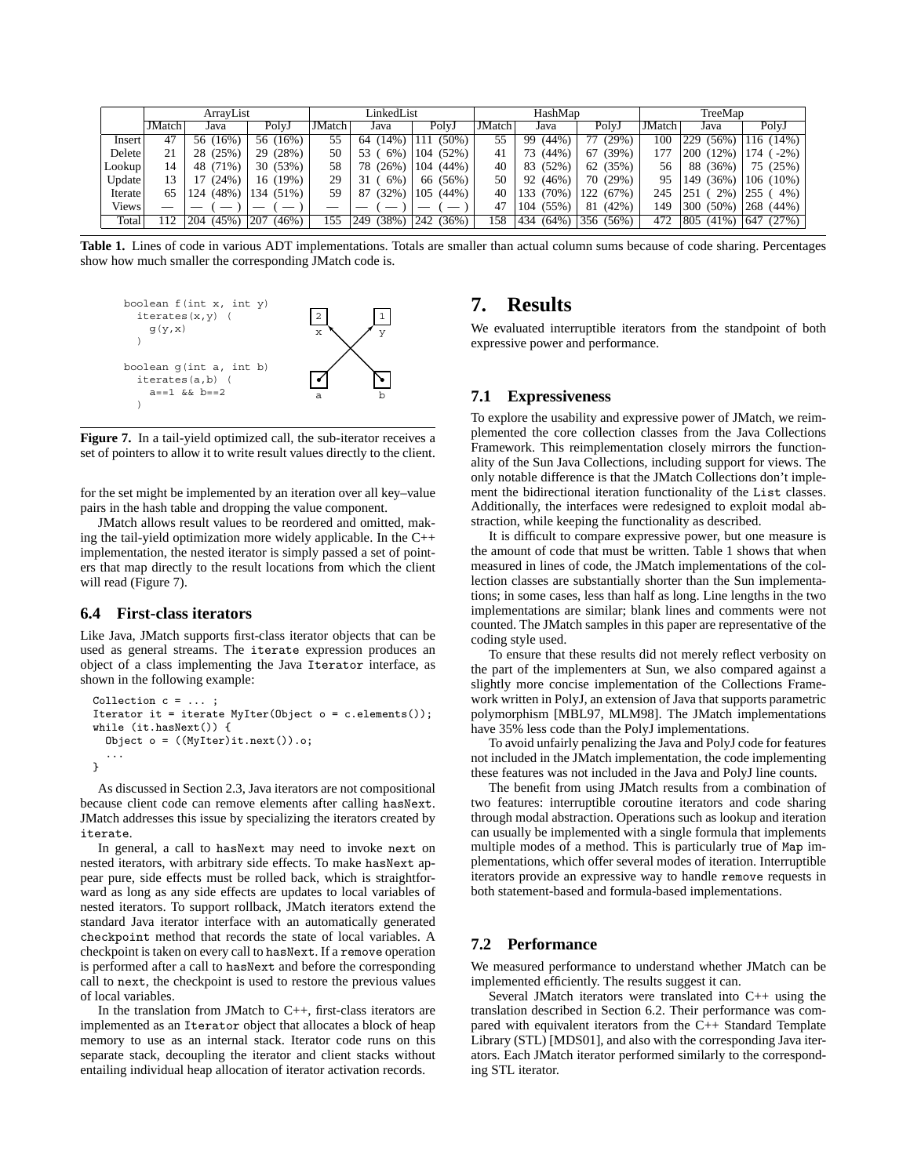|              | ArravList |              |                 | LinkedList    |                  |                 | HashMap |                           |             | TreeMap |                 |                 |
|--------------|-----------|--------------|-----------------|---------------|------------------|-----------------|---------|---------------------------|-------------|---------|-----------------|-----------------|
|              | JMatch    | Java         | PolvJ           | <b>JMatch</b> | Java             | PolvJ           | JMatch  | Java                      | PolvJ       | JMatch  | Java            | PolyJ           |
| Insert       | 47        | 56 (16%)     | 56 (16%)        | 55            | $(14\%)$<br>64   | $(50\%)$        | 55      | $(44\%)$<br>99            | (29%)       | 100     | 229<br>$(56\%)$ | $(14\%)$<br>16  |
| Delete       | 21        | 28 (25%)     | 29 (28%)        | 50            | 6%<br>53         | $(52\%)$<br>104 | 41      | $(44\%)$<br>73            | (39%)<br>67 |         | (12%)<br>200    | .74<br>$-2\%$ ) |
| Lookup       | 14        | 48 (71%)     | 30(53%)         | 58            | 78 (<br>$(26\%)$ | 104<br>$(44\%)$ | 40      | 83 (52%)                  | 62 (35%)    | 56      | (36%)<br>88     | 75 (25%)        |
| Update       |           | (24%)        | 16(19%)         | 29            | 6%<br>31         | 66 (56%)        | 50      | 92 (46%)                  | 70 (29%)    | 95      | 149 (36%)       | 106<br>$(10\%)$ |
| Iterate      | 65        | (48%)<br>124 | 134<br>$(51\%)$ | 59            | (32%<br>87       | 105<br>$(44\%)$ | 40      | 133 <sub>1</sub><br>(70%) | 122 (67%)   | 245     | $2\%$ )<br>251  | 255<br>4%)      |
| <b>Views</b> |           |              |                 |               |                  |                 | 47      | $(55\%)$<br>104           | (42%)<br>81 | 149     | 300<br>$(50\%)$ | $(44\%)$<br>268 |
| Total        | 12        | (45%)<br>204 | 207<br>(46%)    | 155           | (38%<br>249      | 242<br>(36%)    | 158     | 434 (64%)                 | 356 (56%)   |         | 805<br>$(41\%)$ | (27%)<br>647    |

**Table 1.** Lines of code in various ADT implementations. Totals are smaller than actual column sums because of code sharing. Percentages show how much smaller the corresponding JMatch code is.



**Figure 7.** In a tail-yield optimized call, the sub-iterator receives a set of pointers to allow it to write result values directly to the client.

for the set might be implemented by an iteration over all key–value pairs in the hash table and dropping the value component.

JMatch allows result values to be reordered and omitted, making the tail-yield optimization more widely applicable. In the C++ implementation, the nested iterator is simply passed a set of pointers that map directly to the result locations from which the client will read (Figure 7).

#### **6.4 First-class iterators**

Like Java, JMatch supports first-class iterator objects that can be used as general streams. The iterate expression produces an object of a class implementing the Java Iterator interface, as shown in the following example:

```
Collection c = ...;
Iterator it = iterate MyIter(Object o = c.elements());
while (it.hasNext()) {
  Object o = ((MyIter)it.next()).o;
  ...
}
```
As discussed in Section 2.3, Java iterators are not compositional because client code can remove elements after calling hasNext. JMatch addresses this issue by specializing the iterators created by iterate.

In general, a call to hasNext may need to invoke next on nested iterators, with arbitrary side effects. To make hasNext appear pure, side effects must be rolled back, which is straightforward as long as any side effects are updates to local variables of nested iterators. To support rollback, JMatch iterators extend the standard Java iterator interface with an automatically generated checkpoint method that records the state of local variables. A checkpoint is taken on every call to hasNext. If a remove operation is performed after a call to hasNext and before the corresponding call to next, the checkpoint is used to restore the previous values of local variables.

In the translation from JMatch to C++, first-class iterators are implemented as an Iterator object that allocates a block of heap memory to use as an internal stack. Iterator code runs on this separate stack, decoupling the iterator and client stacks without entailing individual heap allocation of iterator activation records.

## **7. Results**

We evaluated interruptible iterators from the standpoint of both expressive power and performance.

### **7.1 Expressiveness**

To explore the usability and expressive power of JMatch, we reimplemented the core collection classes from the Java Collections Framework. This reimplementation closely mirrors the functionality of the Sun Java Collections, including support for views. The only notable difference is that the JMatch Collections don't implement the bidirectional iteration functionality of the List classes. Additionally, the interfaces were redesigned to exploit modal abstraction, while keeping the functionality as described.

It is difficult to compare expressive power, but one measure is the amount of code that must be written. Table 1 shows that when measured in lines of code, the JMatch implementations of the collection classes are substantially shorter than the Sun implementations; in some cases, less than half as long. Line lengths in the two implementations are similar; blank lines and comments were not counted. The JMatch samples in this paper are representative of the coding style used.

To ensure that these results did not merely reflect verbosity on the part of the implementers at Sun, we also compared against a slightly more concise implementation of the Collections Framework written in PolyJ, an extension of Java that supports parametric polymorphism [MBL97, MLM98]. The JMatch implementations have 35% less code than the PolyJ implementations.

To avoid unfairly penalizing the Java and PolyJ code for features not included in the JMatch implementation, the code implementing these features was not included in the Java and PolyJ line counts.

The benefit from using JMatch results from a combination of two features: interruptible coroutine iterators and code sharing through modal abstraction. Operations such as lookup and iteration can usually be implemented with a single formula that implements multiple modes of a method. This is particularly true of Map implementations, which offer several modes of iteration. Interruptible iterators provide an expressive way to handle remove requests in both statement-based and formula-based implementations.

### **7.2 Performance**

We measured performance to understand whether JMatch can be implemented efficiently. The results suggest it can.

Several JMatch iterators were translated into C++ using the translation described in Section 6.2. Their performance was compared with equivalent iterators from the C++ Standard Template Library (STL) [MDS01], and also with the corresponding Java iterators. Each JMatch iterator performed similarly to the corresponding STL iterator.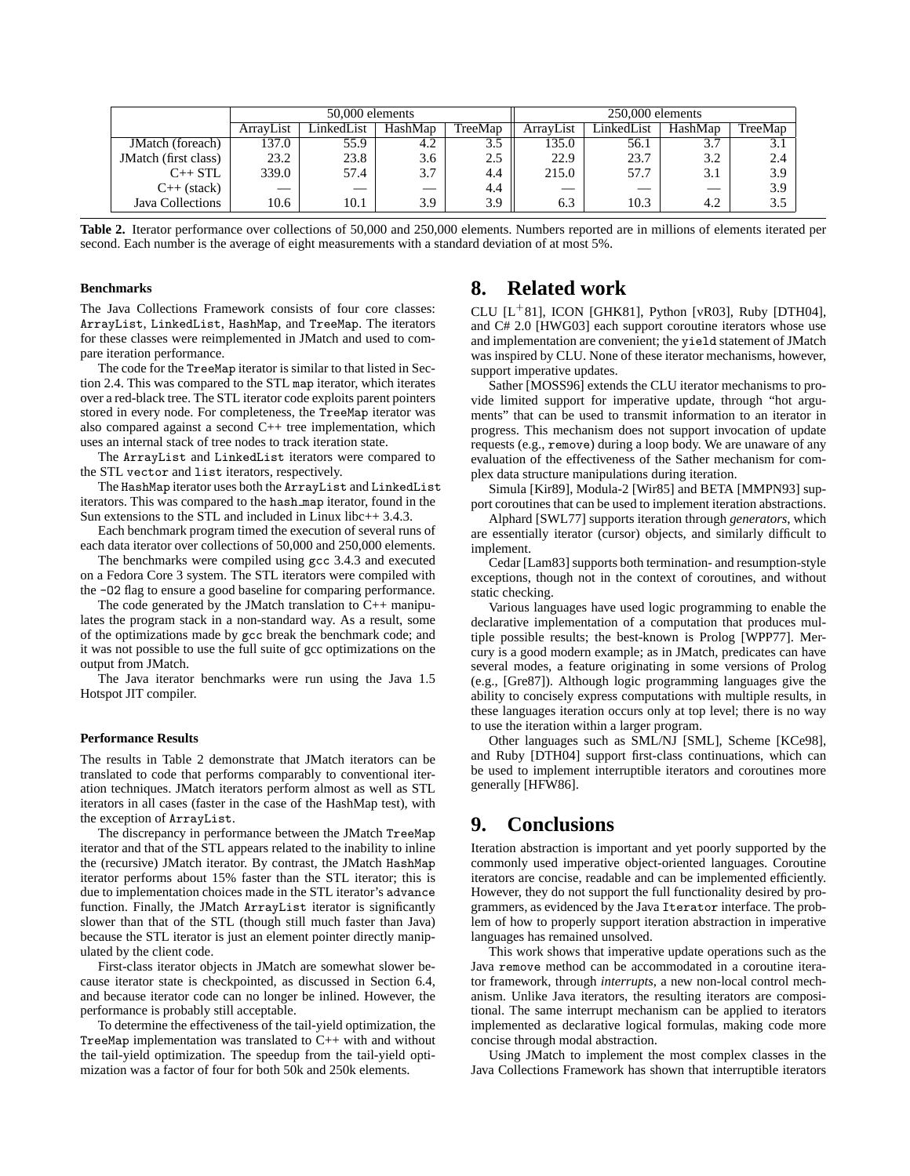|                      |           | 50,000 elements          |         |         | $250,000$ elements     |            |         |            |  |
|----------------------|-----------|--------------------------|---------|---------|------------------------|------------|---------|------------|--|
|                      | ArravList | .inkedList               | HashMap | TreeMap | ArrayL <sub>1</sub> st | LinkedList | HashMap | $TreeM$ ap |  |
| JMatch (foreach)     | 137.0     | 55.9                     | 4.2     | 3.5     | 135.0                  | 56.1       | 3.7     | 3.1        |  |
| JMatch (first class) | 23.2      | 23.8                     | 3.6     | 2.5     | 22.9                   | 23.7       | 3.2     | 2.4        |  |
| $C++STL$             | 339.0     | 57.4                     | 3.7     | 4.4     | 215.0                  | 57.7       | 3.1     | 3.9        |  |
| $C++$ (stack)        |           | $\overline{\phantom{a}}$ |         | 4.4     |                        | __         |         | 3.9        |  |
| Java Collections     | 10.6      | 10.1                     | 3.9     | 3.9     | 6.3                    | 10.3       | 4.2     | 3.5        |  |

**Table 2.** Iterator performance over collections of 50,000 and 250,000 elements. Numbers reported are in millions of elements iterated per second. Each number is the average of eight measurements with a standard deviation of at most 5%.

#### **Benchmarks**

The Java Collections Framework consists of four core classes: ArrayList, LinkedList, HashMap, and TreeMap. The iterators for these classes were reimplemented in JMatch and used to compare iteration performance.

The code for the TreeMap iterator is similar to that listed in Section 2.4. This was compared to the STL map iterator, which iterates over a red-black tree. The STL iterator code exploits parent pointers stored in every node. For completeness, the TreeMap iterator was also compared against a second  $C_{++}$  tree implementation, which uses an internal stack of tree nodes to track iteration state.

The ArrayList and LinkedList iterators were compared to the STL vector and list iterators, respectively.

The HashMap iterator uses both the ArrayList and LinkedList iterators. This was compared to the hash map iterator, found in the Sun extensions to the STL and included in Linux libc++ 3.4.3.

Each benchmark program timed the execution of several runs of each data iterator over collections of 50,000 and 250,000 elements.

The benchmarks were compiled using gcc 3.4.3 and executed on a Fedora Core 3 system. The STL iterators were compiled with the -O2 flag to ensure a good baseline for comparing performance.

The code generated by the JMatch translation to C++ manipulates the program stack in a non-standard way. As a result, some of the optimizations made by gcc break the benchmark code; and it was not possible to use the full suite of gcc optimizations on the output from JMatch.

The Java iterator benchmarks were run using the Java 1.5 Hotspot JIT compiler.

#### **Performance Results**

The results in Table 2 demonstrate that JMatch iterators can be translated to code that performs comparably to conventional iteration techniques. JMatch iterators perform almost as well as STL iterators in all cases (faster in the case of the HashMap test), with the exception of ArrayList.

The discrepancy in performance between the JMatch TreeMap iterator and that of the STL appears related to the inability to inline the (recursive) JMatch iterator. By contrast, the JMatch HashMap iterator performs about 15% faster than the STL iterator; this is due to implementation choices made in the STL iterator's advance function. Finally, the JMatch ArrayList iterator is significantly slower than that of the STL (though still much faster than Java) because the STL iterator is just an element pointer directly manipulated by the client code.

First-class iterator objects in JMatch are somewhat slower because iterator state is checkpointed, as discussed in Section 6.4, and because iterator code can no longer be inlined. However, the performance is probably still acceptable.

To determine the effectiveness of the tail-yield optimization, the TreeMap implementation was translated to C++ with and without the tail-yield optimization. The speedup from the tail-yield optimization was a factor of four for both 50k and 250k elements.

### **8. Related work**

CLU  $[L^+81]$ , ICON [GHK81], Python [vR03], Ruby [DTH04], and C# 2.0 [HWG03] each support coroutine iterators whose use and implementation are convenient; the yield statement of JMatch was inspired by CLU. None of these iterator mechanisms, however, support imperative updates.

Sather [MOSS96] extends the CLU iterator mechanisms to provide limited support for imperative update, through "hot arguments" that can be used to transmit information to an iterator in progress. This mechanism does not support invocation of update requests (e.g., remove) during a loop body. We are unaware of any evaluation of the effectiveness of the Sather mechanism for complex data structure manipulations during iteration.

Simula [Kir89], Modula-2 [Wir85] and BETA [MMPN93] support coroutines that can be used to implement iteration abstractions.

Alphard [SWL77] supports iteration through *generators*, which are essentially iterator (cursor) objects, and similarly difficult to implement.

Cedar [Lam83] supports both termination- and resumption-style exceptions, though not in the context of coroutines, and without static checking.

Various languages have used logic programming to enable the declarative implementation of a computation that produces multiple possible results; the best-known is Prolog [WPP77]. Mercury is a good modern example; as in JMatch, predicates can have several modes, a feature originating in some versions of Prolog (e.g., [Gre87]). Although logic programming languages give the ability to concisely express computations with multiple results, in these languages iteration occurs only at top level; there is no way to use the iteration within a larger program.

Other languages such as SML/NJ [SML], Scheme [KCe98], and Ruby [DTH04] support first-class continuations, which can be used to implement interruptible iterators and coroutines more generally [HFW86].

### **9. Conclusions**

Iteration abstraction is important and yet poorly supported by the commonly used imperative object-oriented languages. Coroutine iterators are concise, readable and can be implemented efficiently. However, they do not support the full functionality desired by programmers, as evidenced by the Java Iterator interface. The problem of how to properly support iteration abstraction in imperative languages has remained unsolved.

This work shows that imperative update operations such as the Java remove method can be accommodated in a coroutine iterator framework, through *interrupts*, a new non-local control mechanism. Unlike Java iterators, the resulting iterators are compositional. The same interrupt mechanism can be applied to iterators implemented as declarative logical formulas, making code more concise through modal abstraction.

Using JMatch to implement the most complex classes in the Java Collections Framework has shown that interruptible iterators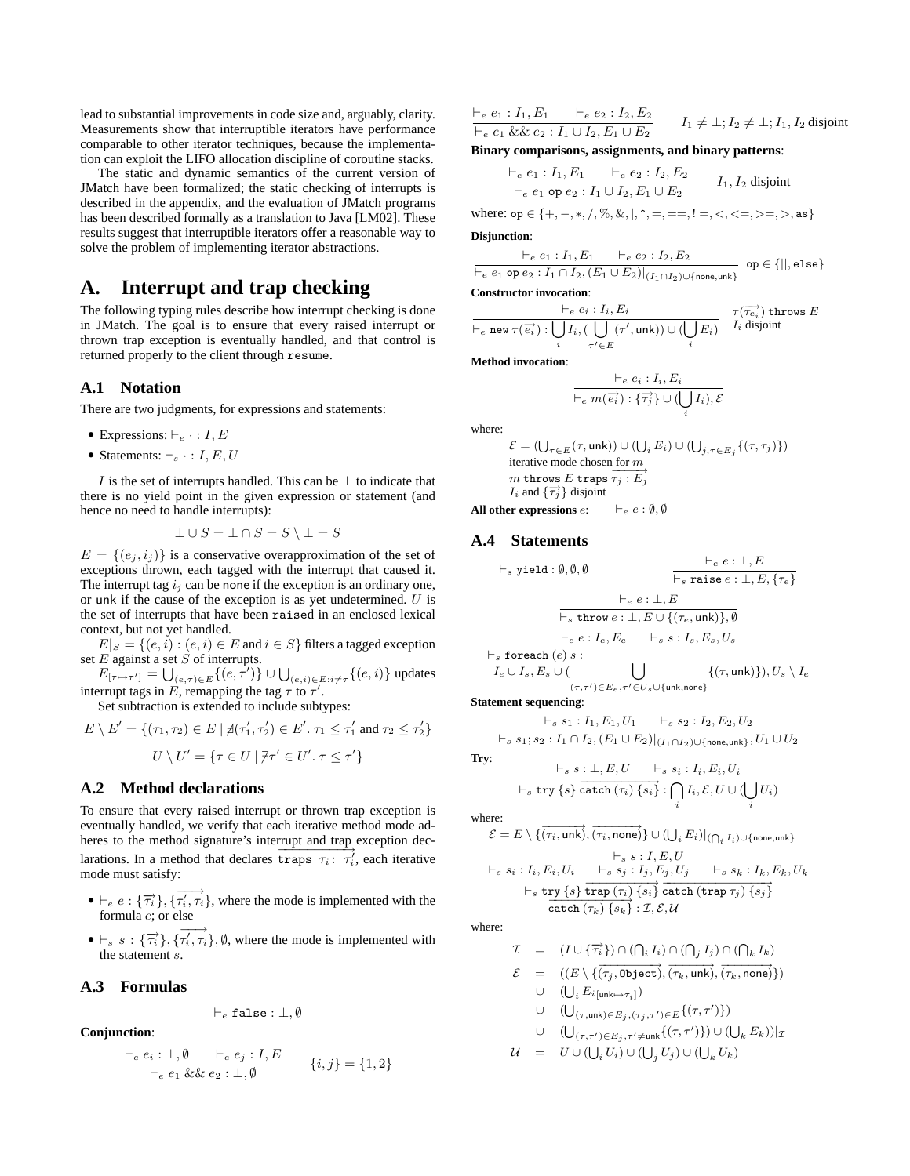lead to substantial improvements in code size and, arguably, clarity. Measurements show that interruptible iterators have performance comparable to other iterator techniques, because the implementation can exploit the LIFO allocation discipline of coroutine stacks.

The static and dynamic semantics of the current version of JMatch have been formalized; the static checking of interrupts is described in the appendix, and the evaluation of JMatch programs has been described formally as a translation to Java [LM02]. These results suggest that interruptible iterators offer a reasonable way to solve the problem of implementing iterator abstractions.

### **A. Interrupt and trap checking**

The following typing rules describe how interrupt checking is done in JMatch. The goal is to ensure that every raised interrupt or thrown trap exception is eventually handled, and that control is returned properly to the client through resume.

### **A.1 Notation**

There are two judgments, for expressions and statements:

- Expressions:  $\vdash_e \cdot : I, E$
- Statements:  $\vdash_s \cdot : I, E, U$

I is the set of interrupts handled. This can be  $\perp$  to indicate that there is no yield point in the given expression or statement (and hence no need to handle interrupts):

$$
\bot \cup S = \bot \cap S = S \setminus \bot = S
$$

 $E = \{(e_j, i_j)\}\$ is a conservative overapproximation of the set of exceptions thrown, each tagged with the interrupt that caused it. The interrupt tag  $i_j$  can be none if the exception is an ordinary one, or unk if the cause of the exception is as yet undetermined.  $U$  is the set of interrupts that have been raised in an enclosed lexical context, but not yet handled.

 $E|S = \{(e, i) : (e, i) \in E \text{ and } i \in S\}$  filters a tagged exception set  $E$  against a set  $S$  of interrupts.

 $E_{[\tau \mapsto \tau']} = \bigcup_{(e,\tau) \in E} \{(e,\tau')\} \cup \bigcup_{(e,i) \in E: i \neq \tau} \{(e,i)\}$  updates interrupt tags in E, remapping the tag  $\tau$  to  $\tau'$ .

Set subtraction is extended to include subtypes:

$$
E \setminus E' = \{ (\tau_1, \tau_2) \in E \mid \not\exists (\tau_1', \tau_2') \in E', \tau_1 \le \tau_1' \text{ and } \tau_2 \le \tau_2' \}
$$

$$
U \setminus U' = \{ \tau \in U \mid \not\exists \tau' \in U', \tau \le \tau' \}
$$

### **A.2 Method declarations**

To ensure that every raised interrupt or thrown trap exception is eventually handled, we verify that each iterative method mode adheres to the method signature's interrupt and trap exception declarations. In a method that declares  $\overline{\text{traps}}$   $\tau_i: \tau_i'$ , each iterative mode must satisfy:

- $\vdash_e e : \{\overrightarrow{\tau_i}\}, \{\overrightarrow{\tau_i}, \overrightarrow{\tau_i}\}$ , where the mode is implemented with the formula e; or else
- $\vdash_s s : {\overrightarrow{\tau_i}}$ ,  ${\overrightarrow{\tau_i}}$ ,  $\overrightarrow{\theta}$ ,  $\emptyset$ , where the mode is implemented with the statement s.

#### **A.3 Formulas**

 $\vdash_e$  false :  $\bot, \emptyset$ 

**Conjunction**:

$$
\frac{\vdash_e e_i : \bot, \emptyset \qquad \vdash_e e_j : I, E}{\vdash_e e_1 \& \& e_2 : \bot, \emptyset} \qquad \{i, j\} = \{1, 2\}
$$

 $\vdash_e e_1 : I_1, E_1 \qquad \vdash_e e_2 : I_2, E_2$  $\vdash_e e_1 \&\& e_2 : I_1 \cup I_2, E_1 \cup E_2$  $I_1 \neq \perp; I_2 \neq \perp; I_1, I_2$  disjoint

**Binary comparisons, assignments, and binary patterns**:

$$
\frac{\vdash_e e_1 : I_1, E_1 \qquad \vdash_e e_2 : I_2, E_2}{\vdash_e e_1 \text{ op } e_2 : I_1 \cup I_2, E_1 \cup E_2} \qquad I_1, I_2 \text{ disjoint}
$$

where: 
$$
op \in \{+, -, *, /, %, \&, |, \hat{ } , =, ==, ! =, <, < =, >=, >, as\}
$$

#### **Disjunction**:

$$
\frac{\vdash_e e_1 : I_1, E_1 \qquad \vdash_e e_2 : I_2, E_2}{\vdash_e e_1 \text{ op } e_2 : I_1 \cap I_2, (E_1 \cup E_2)|_{(I_1 \cap I_2) \cup \{\text{none}, \text{unk}\}}}
$$
 op  $\in \{||, \text{else}\}$ 

**Constructor invocation**:

$$
\frac{\vdash_e e_i : I_i, E_i}{\vdash_e \texttt{new}~ \tau(\overrightarrow{e_i}) : \bigcup_i I_i, (\bigcup_{\tau' \in E} (\tau', \texttt{unk})) \cup (\bigcup_i E_i)} \quad \begin{array}{c} \tau(\overrightarrow{\tau_{e_i}})~\texttt{throws}~E \\ I_i~\texttt{disjoint} \end{array}
$$

**Method invocation**:

$$
\vdash_e e_i : I_i, E_i
$$

$$
\vdash_e m(\overrightarrow{e_i}) : \{\overrightarrow{\tau_j}\} \cup (\bigcup_i I_i), \mathcal{E}
$$

where:

$$
\mathcal{E} = (\bigcup_{\tau \in E} (\tau, \text{unk})) \cup (\bigcup_{i} E_i) \cup (\bigcup_{j, \tau \in E_j} \{(\tau, \tau_j)\})
$$
  
iterative mode chosen for  $m$   
 $m$  throws  $E$  traps  $\tau_j : E_j$   
 $I_i$  and  $\{\overline{\tau}_j^2\}$  disjoint

**All other expressions**  $e: \qquad \vdash_e e : \emptyset, \emptyset$ 

### **A.4 Statements**

$$
\vdash_s \texttt{yield}: \emptyset, \emptyset, \emptyset \qquad \qquad \frac{\vdash_e e : \bot, E}{\vdash_s \texttt{raise } e : \bot, E, \{\tau_e\}} \\ \qquad \vdash_e e : \bot, E \\ \qquad \qquad \vdash_s \texttt{throw } e : \bot, E \cup \{(\tau_e, \texttt{unk})\}, \emptyset \\ \qquad \qquad \vdash_e e : I_e, E_e \qquad \vdash_s s : I_s, E_s, U_s \\ \qquad \qquad \vdash_s \texttt{forceach}(e) \ s : \\ \qquad I_e \cup I_s, E_s \cup (\bigcup_{(\tau, \tau') \in E_e, \tau' \in U_s \cup \{\texttt{unk}, \texttt{none}\}} \{\{\tau, \texttt{unk}\}\}), U_s \setminus I_e \\ \qquad \qquad \texttt{statement sequencing:}
$$

**Statement sequencing**:

$$
\frac{\vdash_s s_1 : I_1, E_1, U_1 \qquad \vdash_s s_2 : I_2, E_2, U_2}{\vdash_s s_1; s_2 : I_1 \cap I_2, (E_1 \cup E_2)|_{(I_1 \cap I_2) \cup \{\text{none}, \text{unk}\}}, U_1 \cup U_2}
$$

$$
\vdash_s s:\bot, E, U \quad \vdash_s s_i: I_i, E_i, U_i
$$
\n
$$
\vdash_s \text{try } \{s\} \overline{\text{catch } (\tau_i) \{s_i\}}: \bigcap I_i, \mathcal{E}, U \cup (\bigcup U_i)
$$

where:

**Try**:

$$
\mathcal{E} = E \setminus \{ \overrightarrow{(\tau_i, \text{unk})}, \overrightarrow{(\tau_i, \text{none})} \} \cup (\bigcup_i E_i) |_{(\bigcap_i I_i) \cup \{\text{none}, \text{unk}\}}
$$
  
 
$$
\vdash_s s : I, E, U
$$

$$
\frac{\vdash_s s_i : I_i, E_i, U_i \quad \vdash_s s_j : I_j, E_j, U_j \quad \vdash_s s_k : I_k, E_k, U_k}{\vdash_s \text{try} \{s\} \overline{\text{trap} \left(\tau_i\right) \{s_i\}} \overline{\text{catch} \left(\text{trap} \left(\tau_j\right) \{s_j\}}\right)}
$$

$$
\frac{\text{catch} \left(\tau_k\right) \{s_k\} : \mathcal{I}, \mathcal{E}, \mathcal{U}}{\text{catch} \left(\tau_k\right) \{s_k\} : \mathcal{I}, \mathcal{E}, \mathcal{U}}
$$

i

i

where:

$$
\mathcal{I} = (I \cup \{\overrightarrow{\tau_i}\}) \cap (\bigcap_i I_i) \cap (\bigcap_j I_j) \cap (\bigcap_k I_k)
$$

$$
\mathcal{E} = ((E \setminus \{ \overrightarrow{(\tau_j, \text{Object})}, \overrightarrow{(\tau_k, \text{unk})}, \overrightarrow{(\tau_k, \text{none})} \})
$$

 $\cup$   $(\bigcup_i E_i$ <sub>[unk $\mapsto \tau_i]$ </sub>)

- $\cup$   $(\bigcup_{(\tau,\mathsf{unk})\in E_j,(\tau_j,\tau')\in E}\{(\tau,\tau')\})$
- ∪  $(∪_{(τ,τ')∈E_j,τ'≠unk}{(τ,τ')}) ∪ (∪_k E_k))|_x$

$$
\mathcal{U} = U \cup (\bigcup_i U_i) \cup (\bigcup_j U_j) \cup (\bigcup_k U_k)
$$